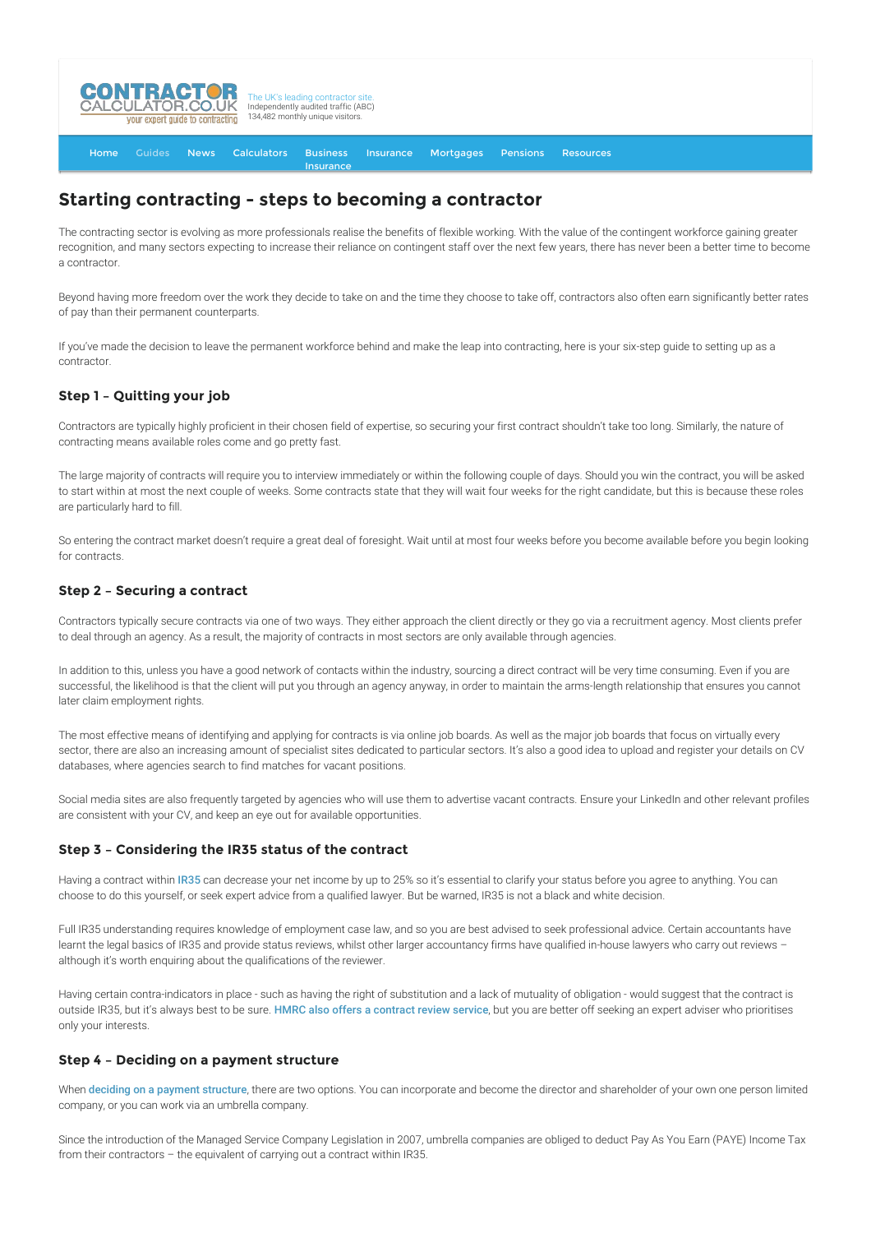

[Home](http://www.contractorcalculator.co.uk/) [Guides](http://www.contractorcalculator.co.uk/Articles.aspx) [News](http://www.contractorcalculator.co.uk/Contractor_News.aspx) [Calculators](http://www.contractorcalculator.co.uk/Calculators.aspx) Business **[Insurance](http://www.contractorcalculator.co.uk/Contractor_Insurances.aspx)** [Insurance](http://www.contractorcalculator.co.uk/Insurance.aspx) [Mortgages](http://www.contractorcalculator.co.uk/Contractor_Mortgages.aspx) [Pensions](http://www.contractorcalculator.co.uk/Contractor_Pensions.aspx) [Resources](http://www.contractorcalculator.co.uk/Contractor_Resources.aspx)

# **Starting contracting - steps to becoming a contractor**

The contracting sector is evolving as more professionals realise the benefits of flexible working. With the value of the contingent workforce gaining greater recognition, and many sectors expecting to increase their reliance on contingent staff over the next few years, there has never been a better time to become a contractor.

Beyond having more freedom over the work they decide to take on and the time they choose to take off, contractors also often earn significantly better rates of pay than their permanent counterparts.

If you've made the decision to leave the permanent workforce behind and make the leap into contracting, here is your six-step guide to setting up as a contractor.

## **Step 1 – Quitting your job**

Contractors are typically highly proficient in their chosen field of expertise, so securing your first contract shouldn't take too long. Similarly, the nature of contracting means available roles come and go pretty fast.

The large majority of contracts will require you to interview immediately or within the following couple of days. Should you win the contract, you will be asked to start within at most the next couple of weeks. Some contracts state that they will wait four weeks for the right candidate, but this is because these roles are particularly hard to fill.

So entering the contract market doesn't require a great deal of foresight. Wait until at most four weeks before you become available before you begin looking for contracts.

### **Step 2 – Securing a contract**

Contractors typically secure contracts via one of two ways. They either approach the client directly or they go via a recruitment agency. Most clients prefer to deal through an agency. As a result, the majority of contracts in most sectors are only available through agencies.

In addition to this, unless you have a good network of contacts within the industry, sourcing a direct contract will be very time consuming. Even if you are successful, the likelihood is that the client will put you through an agency anyway, in order to maintain the arms-length relationship that ensures you cannot later claim employment rights.

The most effective means of identifying and applying for contracts is via online job boards. As well as the major job boards that focus on virtually every sector, there are also an increasing amount of specialist sites dedicated to particular sectors. It's also a good idea to upload and register your details on CV databases, where agencies search to find matches for vacant positions.

Social media sites are also frequently targeted by agencies who will use them to advertise vacant contracts. Ensure your LinkedIn and other relevant profiles are consistent with your CV, and keep an eye out for available opportunities.

#### **Step 3 – Considering the IR35 status of the contract**

Having a contract within [IR35](http://www.contractorcalculator.co.uk/IR35.aspx) can decrease your net income by up to 25% so it's essential to clarify your status before you agree to anything. You can choose to do this yourself, or seek expert advice from a qualified lawyer. But be warned, IR35 is not a black and white decision.

Full IR35 understanding requires knowledge of employment case law, and so you are best advised to seek professional advice. Certain accountants have learnt the legal basics of IR35 and provide status reviews, whilst other larger accountancy firms have qualified in-house lawyers who carry out reviews although it's worth enquiring about the qualifications of the reviewer.

Having certain contra-indicators in place - such as having the right of substitution and a lack of mutuality of obligation - would suggest that the contract is outside IR35, but it's always best to be sure. [HMRC also offers a contract review service](http://www.contractorcalculator.co.uk/hmrc_IR35_Contract_Review.aspx), but you are better off seeking an expert adviser who prioritises only your interests.

#### **Step 4 – Deciding on a payment structure**

When [deciding on a payment structure](http://www.contractorcalculator.co.uk/Limited_company_umbrella_differences.aspx), there are two options. You can incorporate and become the director and shareholder of your own one person limited company, or you can work via an umbrella company.

Since the introduction of the Managed Service Company Legislation in 2007, umbrella companies are obliged to deduct Pay As You Earn (PAYE) Income Tax from their contractors – the equivalent of carrying out a contract within IR35.